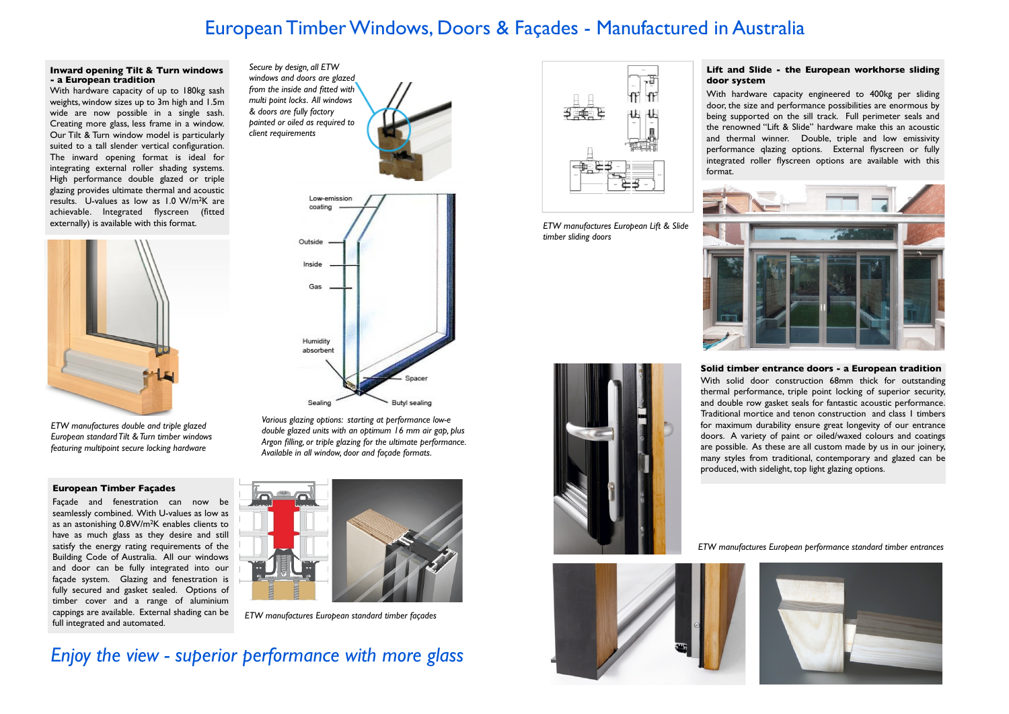### **European Timber Façades**

Façade and fenestration can now be seamlessly combined. With U-values as low as as an astonishing 0.8W/m2K enables clients to have as much glass as they desire and still satisfy the energy rating requirements of the Building Code of Australia. All our windows and door can be fully integrated into our façade system. Glazing and fenestration is fully secured and gasket sealed. Options of timber cover and a range of aluminium cappings are available. External shading can be full integrated and automated.

#### **Lift and Slide - the European workhorse sliding door system**

With hardware capacity engineered to 400kg per sliding door, the size and performance possibilities are enormous by being supported on the sill track. Full perimeter seals and the renowned "Lift & Slide" hardware make this an acoustic and thermal winner. Double, triple and low emissivity performance qlazing options. External flyscreen or fully integrated roller flyscreen options are available with this format.









#### **Inward opening Tilt & Turn windows - a European tradition**

With hardware capacity of up to 180kg sash weights, window sizes up to 3m high and 1.5m wide are now possible in a single sash. Creating more glass, less frame in a window. Our Tilt & Turn window model is particularly suited to a tall slender vertical configuration. The inward opening format is ideal for integrating external roller shading systems. High performance double glazed or triple glazing provides ultimate thermal and acoustic results. U-values as low as 1.0 W/m2K are achievable. Integrated flyscreen (fitted



*timber sliding doors*

*Various glazing options: starting at performance low-e double glazed units with an optimum 16 mm air gap, plus Argon filling, or triple glazing for the ultimate performance. Available in all window, door and façade formats.*



*ETW manufactures double and triple glazed European standard Tilt & Turn timber windows featuring multipoint secure locking hardware*

*Secure by design, all ETW windows and doors are glazed from the inside and fitted with multi point locks. All windows & doors are fully factory painted or oiled as required to client requirements*



## European Timber Windows, Doors & Façades - Manufactured in Australia



*ETW manufactures European standard timber façades*

# *Enjoy the view - superior performance with more glass*



**Solid timber entrance doors - a European tradition** With solid door construction 68mm thick for outstanding thermal performance, triple point locking of superior security, and double row gasket seals for fantastic acoustic performance. Traditional mortice and tenon construction and class 1 timbers for maximum durability ensure great longevity of our entrance doors. A variety of paint or oiled/waxed colours and coatings are possible. As these are all custom made by us in our joinery, many styles from traditional, contemporary and glazed can be produced, with sidelight, top light glazing options.

*ETW manufactures European performance standard timber entrances*